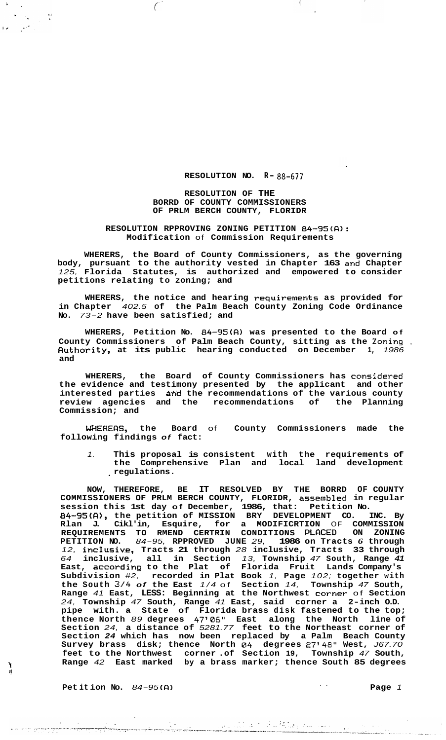### **RESOLUTION NO. R- 88-677**

 $\left($ 

**RESOLUTION OF THE BORRD OF COUNTY COMMISSIONERS OF PRLM BERCH COUNTY, FLORIDR** 

 $\bigg($ 

 $\frac{1}{2}$ 

 $\mathcal{I}_{\bullet}$  $\mathbf{G} = \left\{ \mathbf{G} \right\}$  .

> **RESOLUTION RPPROVING ZONING PETITION** *84-35(R):*  **Modification** of **Commission Requirements**

**WHERERS, the Board of County Commissioners, as the governing body, pursuant to the authority vested in Chapter 163 and Chapter**  *125,* **Florida Statutes, is authorized and empowered to consider petitions relating to zoning; and** 

**WHERERS, the notice and hearing requirements as provided for in Chapter** *402.5* **of the Palm Beach County Zoning Code Ordinance No.** *73-2* **have been satisfied; and** 

**WHERERS, Petition No.** *84-95(R)* **was presented to the Board of County Commissioners of Palm Beach County, sitting as the Zoning** , **Ruthority, at its public hearing conducted on December 1,** *1986*  **and** 

**WHERERS, the Board of County Commissioners has considered the evidence and testimony presented by the applicant and other**  interested parties and the recommendations of the various county review agencies and the recommendations of the Planning review agencies and the recommendations of **Commission; and** 

**WRERERS, the Board** of **County Commissioners made the following findings** *of* **fact:** 

*1.* **This proposal is consistent with the requirements of the Comprehensive Plan and local land development**  . **regulations.** 

**NOW, THEREFORE, BE IT RESOLVED BY THE BORRD OF COUNTY COMMISSIONERS OF PRLM BERCH COUNTY, FLORIDR, assembled in regular session this 1st day of December, 1986, that: Petition No.**  *84-95(R),* **the petition of MISSION BRY DEVELOPMENT CO. INC. By Rlan J. Cikl'in, Esquire, for a MODIFICRTION** OF **COMMISSION REQUIREMENTS TO RMEND CERTRIN CONDITIONS PLRCED ON ZONING PETITION NO.** *84-95,* **RPPROVED JUNE** *29,* **1986 on Tracts** *6* **through**  *12,* **inclusiv.e, Tracts 21 through** *28* **inclusive, Tracts 33 through**  *64* **inclusive, all in Section** *13,* **Township** *47* **South, Range** *41*  **East, according to the Plat of Florida Fruit Lands Company's Subdivision** *#2,* **recorded in Plat Book** *1,* **Page** *102;* **together with the South** *3/4 of* **the East** *1/4* of **Section** *14,* **Township** *47* **South, Range** *41* **East, LESS: Beginning at the Northwest corner** of **Section**  *24,* **Township** *47* **South, Range** *41* **East, said corner a 2-inch O.D. pipe with. a State of Florida brass disk fastened to the top; thence North** *89* **degrees** *47'06"* **East along the North line of Section** *24,* **a distance of** *5281.77* **feet to the Northeast corner of Section** *24* **which has now been replaced by a Palm Beach County Survey brass disk; thence North** *04* **degrees** *27348"* **West,** *J67.70*  **feet to the Northwest corner .of Section 19, Township** *47* **South, Range** *42* **East marked by a brass marker; thence South 85 degrees** \

**Pet it ion No.** *84-95* **(R)** .. **Page** *<sup>1</sup>*

I!

 $\Delta \sim 10$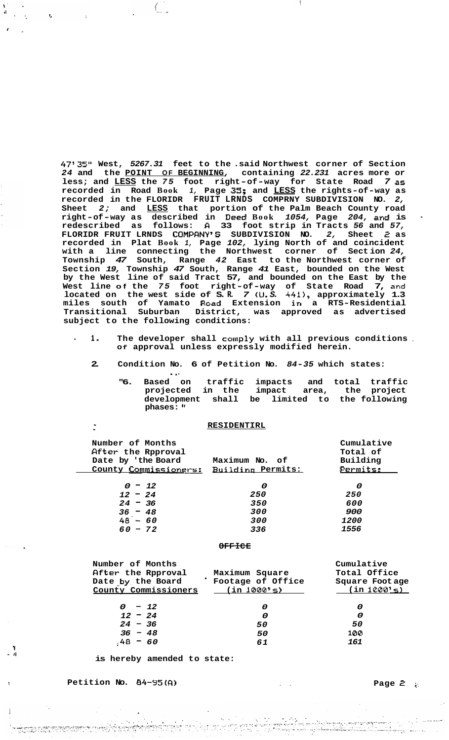*47'35"* **West,** *5267.31* **feet to the .said Northwest corner of Section**  *24* **and the POINT OF BEGINNING, containing** *22.231* **acres more or less; and LESS the** *75* **foot right-of-way for State Road** *7* **as recorded in Road Book** *1,* **Page 35; and LESS the rights-of-way as recorded in the FLORIDR FRUIT LRNDS COMPRNY SUBDIVISION NO.** *2,*  **Sheet** *2;* **and LESS that portion of the Palm Beach County road right-of-way as described in .Deed Book** *1054,* **Page** *204,* **and is** . **redescribed as follows: R 33 foot strip in Tracts** *56* **and** *57,*  **FLORIDR FRUIT LRNDS COMPRNY'S SUBDIVISION NO.** *2,* **Sheet** *2* **as recorded in Plat Book** *1,* **Page** *102,* **lying North of and coincident with a line connecting the Northwest corner of Sect ion** *24,*  **Township** *47* **South, Range** *42* **East to the Northwest corner of Section** *19,* **Township** *47* **South, Range** *41* **East, bounded on the West by the West line of said Tract 57, and bounded on the East by the West line of the** *75* **foot right-of-way of State Road 7, and located on the west side of S. R.** *7* **(U.** *S. 4411,* **approximately 1.3 miles south of Yamato Road Extension in a RTS-Residential Transitional Suburban District, was approved as advertised subject to the following conditions:** 

 $\left(\begin{array}{c} \overline{a} & \overline{a} \\ \overline{a} & \overline{a} \end{array}\right)$ 

 $\mathbf{r}_i$ 

- ' *1.* **The developer shall comply with all previous conditions** , **Of approval unless expressly modified herein.** 
	- **2. Condition No. 6 of Petition No.** *84-35* **which states:** 
		- \* **8. "6. Based on traffic impacts and total traffic projected in the impact area, the project development shall be limited to the following phases:**

#### **RESIDENTIRL**

| Number of Months<br>After the Rpproval<br>Date by 'the Board<br>County Commissioners: | Maximum No. of<br>Building Permits: | Cumulative<br>Total of<br>Building<br>Permits: |  |  |  |
|---------------------------------------------------------------------------------------|-------------------------------------|------------------------------------------------|--|--|--|
| $0 - 12$                                                                              | 0                                   | 0                                              |  |  |  |
| $12 - 24$                                                                             | 250                                 | 250                                            |  |  |  |
| $24 - 36$                                                                             | 350                                 | 600                                            |  |  |  |
| $36 - 48$                                                                             | 300                                 | 900                                            |  |  |  |
| $48 - 60$                                                                             | 300                                 | <i>1200</i>                                    |  |  |  |
| $60 - 72$                                                                             | 336                                 | 1556                                           |  |  |  |
|                                                                                       |                                     |                                                |  |  |  |
|                                                                                       |                                     | .<br>$\sim$ $\sim$                             |  |  |  |

| Number of Months     |                   | Cumulative      |
|----------------------|-------------------|-----------------|
| After the Rpproval   | Maximum Square    | Total Office    |
| Date by the Board    | Footage of Office | Square Foot age |
| County Commissioners | $($ in $1000$ 's) | (in 1000's)     |
| $0 - 12$             | 0                 | 0               |
| $12 - 24$            | 0                 | 0               |
| $24 - 36$            | 50                | 50              |
| $36 - 48$            | 50                | 100             |
| $48 - 60$            | 61                | 161             |
|                      |                   |                 |

**is hereby amended to state:** 

**t Petition No.** *84-95(R)* .. **Page** *2 I:* 

**7** 

- *Il*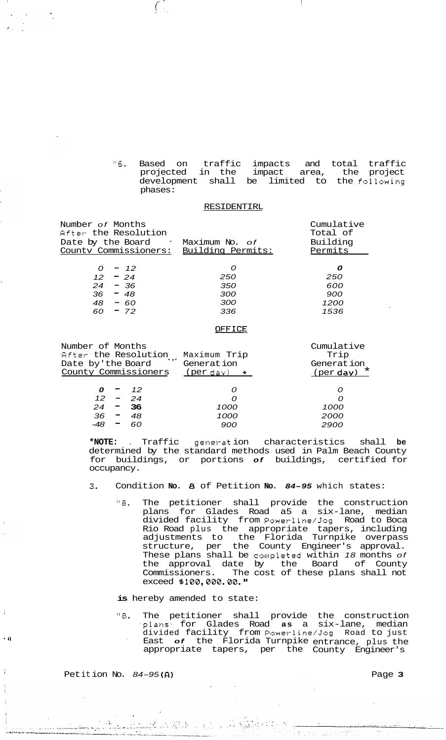*"6.* Based on traffic impacts and total traffic projected in the impact area, the project development shall be limited to the following phases:

#### RESIDENTIRL

| Number <i>of</i> Months<br>After the Resolution<br>Date by the Board | Maximum No. <i>of</i> | Cumulative<br>Total of<br>Building |
|----------------------------------------------------------------------|-----------------------|------------------------------------|
|                                                                      |                       |                                    |
| County Commissioners: Building Permits:                              |                       | Permits                            |
| $-12$<br>0                                                           | Ω                     | Ω                                  |
| $12 - 24$                                                            |                       |                                    |
|                                                                      | 250                   | 250                                |
| $-36$<br>24                                                          | 350                   | 600                                |
| 36<br>$-48$                                                          | 300                   | 900                                |
| 48<br>$-60$                                                          | 300                   | 1200                               |
| $-72$<br>60                                                          | 336                   | 1536                               |
|                                                                      |                       |                                    |

 $\left(\begin{array}{c} \cdot \\ \cdot \end{array}\right)$ 

#### **OFFICE**

| Number of Months                                                        |        |           |      | Cumulative         |
|-------------------------------------------------------------------------|--------|-----------|------|--------------------|
| After the Resolution<br>Maximum Trip<br>Date by'the Board<br>Generation |        |           |      | Trip<br>Generation |
|                                                                         |        |           |      |                    |
|                                                                         |        | 12        |      |                    |
|                                                                         |        | $12 - 24$ | O    |                    |
| 24                                                                      | т.     | - 36      | 1000 | 1000               |
| 36                                                                      | $\sim$ | 48        | 1000 | 2000               |
|                                                                         |        | 60        | 900  | 2900               |
|                                                                         |        |           |      |                    |

**\*NOTE:** . Traffic generat ion characteristics shall **be**  determined by the standard methods used in Palm Beach County for buildings, or portions *of* buildings, certified for occupancy.

- *3.* Condition **No.** *8* of Petition **No.** *84-95* which states:
	- *"8.* The petitioner shall provide the construction plans for Glades Road a5 a six-lane, median divided facility from Powerline/Jog Road to Boca Rio Road plus the appropriate tapers, including adjustments to the Florida Turnpike overpass structure, per the County Engineer's approval. These plans shall be completed within *18* months *of*  the approval date by the Board of County Commissioners. The cost of these plans shall not exceed *B100,000.00.* **If**

**is** hereby amended to state:

*"8.* The petitioner shall provide the construction -plans. for Glades Road **as** a six-lane, median divided facility from Powerline/Jog Road to just ' East *of* the Florida Turnpike entrance, plus the appropriate tapers, per the County Engineer's

Petition No. 84-95(A) **Petition** No. 84-95(A)

' **II** 

÷

لغدي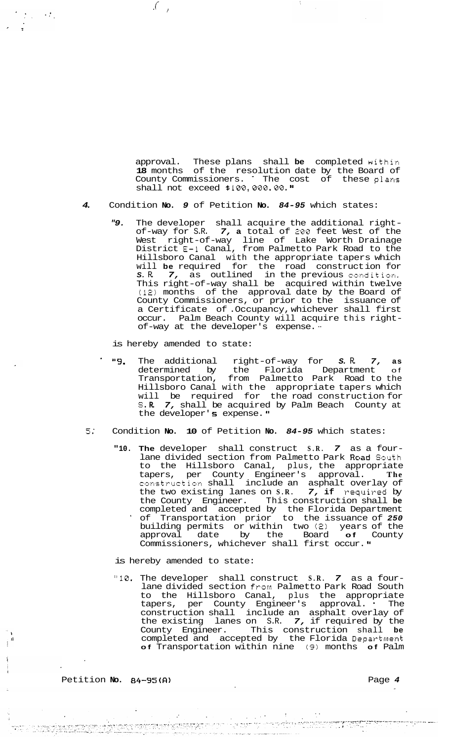approval. These plans shall **be** completed within **18** months of the resolution date by the Board of County Commissioners. ~ The cost of these plans shall not exceed  $$100,000,00.$  **"** 

## *4.* Condition **No.** *9* of Petition **No.** *84-95* which states:

*"9.* The developer shall acquire the additional rightof-way for S.R. *7,* **a** total of *200* feet West of the West right-of-way line of Lake Worth Drainage District **E-1** Canal, from Palmetto Park Road to the Hillsboro Canal with the appropriate tapers which will **be** required for the road construct ion for S. R. 7, as outlined in the previous condition. This right-of-way shall be acquired within twelve **(12)** months of the approval date by the Board of County Commissioners, or prior to the issuance of a Certificate of .Occupancy, whichever shall first occur. Palm Beach County will acquire this rightof-way at the developer's expense. "

is hereby amended to state:

 $\int_{\mathbb{R}^2} f(x) dx$ 

 $\mathcal{L}_{\text{max}} \rightarrow \mathcal{L}_{\text{max}}$ 

- . *"9.* The additional right-of-way for *S.* R. *7,* **as**  determined by the Florida Department of Transportation, from Palmetto Park Road to the Hillsboro Canal with the appropriate tapers which will be required for the-road-construction-for *S.* **R.** *7,* shall be acquired by Palm Beach County at the developer' **6** expense. **'I**
- **5.'** Condition **No. 10** of Petition **No.** *84-95* which states:
	- **"10. The** developer shall construct **S.R.** *7* as a fourlane divided section from Palmetto Park Road South to the Hillsboro Canal, plus, the appropriate tapers, per County Engineer's approval. **The**  construction shall include an asphalt overlay of the two existing lanes on **S.R.** *7,* **if** required by the County Engineer. This construction shall **be**  completed and accepted by the Florida Department ' of Transportation prior to the issuance of *250*  building permits or within two (2) years of the approval date by the Board **of** County Commissioners, whichever shall first occur. **'I**

is hereby amended to state:

 $\mathcal{L}$ 

**"10.** The developer shall construct **S.R.** *7* as a fourlane divided section from Palmetto Park Road South to the Hillsboro Canal, plus the appropriate tapers, per County Engineer's approval. ' The construction shall include an asphalt overlay of the existing lanes on S.R. *7,* if required by the County Engineer. This construction shall **be**  completed and accepted by the Florida Department **of** Transportation within nine **(9)** months **of** Palm

a militar 1999 (1999) a 1999 (1999) a contra 1999 (1999).<br>1999 (1999) a company a company de la filma del protectamente de la campanya del campany maneral e maneral co

Petition **No.** *84-95(0)* Page *4*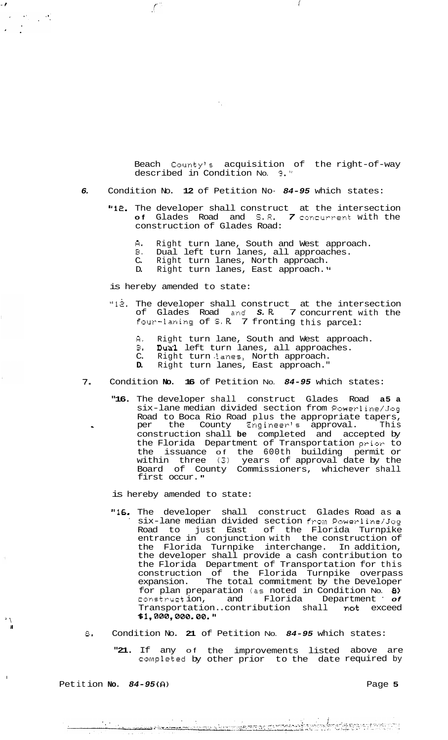Beach County's acquisition of the right-of-way described in Condition No. *9."* 

- *6.* Condition No. **12** of Petition No- *84-95* which states:
	- **"12.** The developer shall construct at the intersection **of** Glades Road and S.R. *7* concurrent with the construction of Glades Road:
		- *R.* Right turn lane, South and West approach.
		- B. Dual left turn lanes, all approaches.<br>C. Right turn lanes, North approach.
		- C. Right turn lanes, North approach.
		- D. Right turn lanes, East approach."

is hereby amended to state:

 $\int$ 

- **"12.** The developer shall construct at the intersection of Glades Road and *S.* R. 7 concurrent with the four-laning of *S.* R. 7 fronting this parcel:
	- *CI.* Right turn lane, South and West approach.
	- **E.** Dux1 left turn lanes, all approaches.
	- C. Right turn lanes, North approach.
	- **D.** Right turn lanes, East approach."
- *7.* Condition **No. 16** of Petition No. *84-95* which states:
	- **"16.** The developer shall construct Glades Road **a5 a**  six-lane median divided section from Powerline/Jog Road to Boca Rio Road plus the appropriate tapers, construction shall **be** completed and accepted by the Florida Department of Transportation prior to the issuance of the 600th building permit or within three **(3)** years of approval date by the Board of County Commissioners, whichever shall first occur." - **e** per the County Engineer's approval. This

is hereby amended to state:

- **"16.** The developer shall construct Glades Road as **a**  six-lane median divided section from Powerline/Jog Road to just East of the Florida Turnpike entrance in conjunction with the construction of the Florida Turnpike interchange. In addition, the developer shall provide a cash contribution to the Florida Department of Transportation for this construction of the Florida Turnpike overpass expansion. The total commitment by the Developer for plan preparation (as noted in Condition No. *8)*  construction, and Florida Department of Transportation. .contribution shall not exceed **\$1,000,000.00.**
- a. Condition No. **21** of Petition No. *84-95* which states:

**"21.** If any of the improvements listed above are completed by other prior to the date required by

**Petition No. 84-95(A) Page 5** 

 $\sim$  1.00  $\pm$ 

 $\mathbf{I}$ . **II** 

 $\mathbf{r}$ 

 $\mathcal{F}=\mathcal{F}_{\mathcal{F}}\left(\mathcal{F}_{\mathcal{F}}\right)$ 

I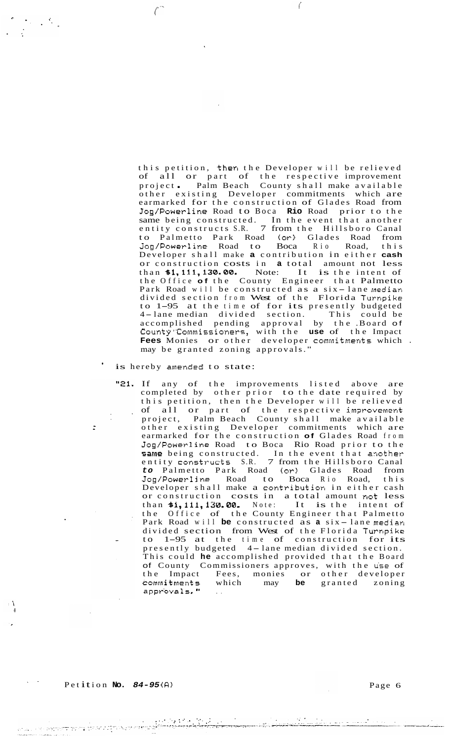this petition, then the Developer will be relieved of all or part of the respective improvement project . Palm Beach County shall make available other existing Developer commitments which are earmarked for the construction of Glades Road from Jog/Powerline Road to Boca **Rio** Road prior to the same being constructed. In the event that another entity constructs S.R. 7 from the Hillsboro Canal to Palmetto Park Road (or) Glades Road from Jog/Powerline Road to Boca Rio Road, this Developer shall make **a** contribution in either **cash**  or construction costs in **a** total amount not less than **81,111,130.00.** Note: It is the intent of the Office **of** the County Engineer that Palmetto Park Road will be constructed as a six-lane median divided section from West of the Florida Turnpike divided section from West of the Florida Turnpike<br>to 1-95 at the time of for its presently budgeted to 1–95 at the time of for its presently budgeted<br>4–lane median divided section. This could be accomplished pending approval by the .Board of County'%ommissioners, with the **use** of the Impact **Fees** Monies or other developer commitments which . may be granted zoning approvals. "

 $\big($ 

#### is hereby amended to state:

 $\int$ 

 $\mathcal{L} \in \mathcal{L}^{\mathcal{K}}$  .

"21. If any of the improvements listed above are completed by other prior to the date required by this petition, then the Developer will be relieved of all or part of the respective improvement project, Palm Beach County shall make available other existing Developer commitments which are earmarked for the construction **of** Glades Road from Jog/Powerline Road to Boca Rio Road prior to the same being constructed. In the event that another entity constructs S.R. 7 from the Hillsboro Canal *to* Palmetto Park Road (or) Glades Road from Jog/Powerline Road to Boca Rio Road, this Developer shall make a contribution in either cash or construction costs in a total amount not less than **81,111,130.00-** Note: It is the intent of the Office of the County Engineer that Palmetto Park Road will **be** constructed as **a** six - lane median divided section from West of the Florida Turnpike to 1-95 at the time of construction for its to 1-95 at the time of construction for its<br>presently budgeted 4-lane median divided section. This could **he** accomplished provided that the Board of County Commissioners approves, with the **u'se** of the Impact Fees, monies or other developer which may **be** granted zoning commitments w<br>approvals. **"** 

।<br>এজন সম্প্ৰতিজ্ঞান কৰে আগত বিদ্যালয় কৰি কৰে।

.<br>Serga meneri internasional meneri

 $\ddot{\cdot}$